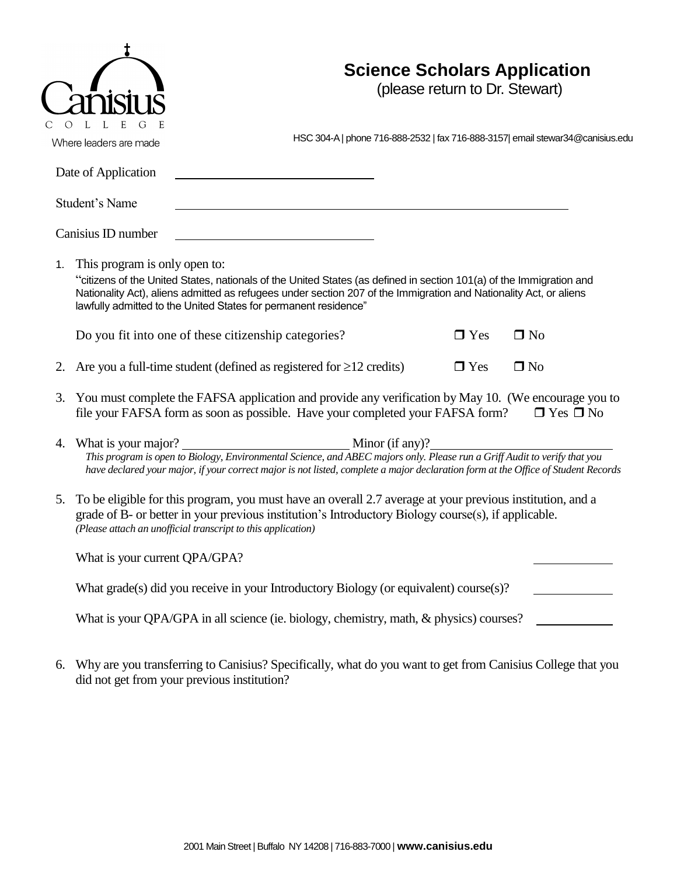| <b>Science Scholars Application</b><br>(please return to Dr. Stewart)<br>Where leaders are made                                                                                                                                                                                                                                              |                                                                                |
|----------------------------------------------------------------------------------------------------------------------------------------------------------------------------------------------------------------------------------------------------------------------------------------------------------------------------------------------|--------------------------------------------------------------------------------|
| Date of Application                                                                                                                                                                                                                                                                                                                          |                                                                                |
| Student's Name                                                                                                                                                                                                                                                                                                                               |                                                                                |
| Canisius ID number                                                                                                                                                                                                                                                                                                                           |                                                                                |
| This program is only open to:<br>"citizens of the United States, nationals of the United States (as defined in section 101(a) of the Immigration and<br>Nationality Act), aliens admitted as refugees under section 207 of the Immigration and Nationality Act, or aliens<br>lawfully admitted to the United States for permanent residence" |                                                                                |
| Do you fit into one of these citizenship categories?<br>$\Box$ No<br>$\Box$ Yes                                                                                                                                                                                                                                                              |                                                                                |
| Are you a full-time student (defined as registered for $\geq$ 12 credits)<br>$\Box$ Yes<br>$\square$ No                                                                                                                                                                                                                                      |                                                                                |
| You must complete the FAFSA application and provide any verification by May 10. (We encourage you to<br>file your FAFSA form as soon as possible. Have your completed your FAFSA form?<br>$\Box$ Yes $\Box$ No                                                                                                                               |                                                                                |
| What is your major?<br>$\frac{1}{2}$ Minor (if any)?<br>This program is open to Biology, Environmental Science, and ABEC majors only. Please run a Griff Audit to verify that you<br>have declared your major, if your correct major is not listed, complete a major declaration form at the Office of Student Records                       |                                                                                |
| To be eligible for this program, you must have an overall 2.7 average at your previous institution, and a<br>grade of B- or better in your previous institution's Introductory Biology course(s), if applicable.<br>(Please attach an unofficial transcript to this application)                                                             |                                                                                |
| What is your current QPA/GPA?                                                                                                                                                                                                                                                                                                                |                                                                                |
| What grade(s) did you receive in your Introductory Biology (or equivalent) course(s)?                                                                                                                                                                                                                                                        |                                                                                |
| What is your QPA/GPA in all science (ie. biology, chemistry, math, & physics) courses?                                                                                                                                                                                                                                                       |                                                                                |
|                                                                                                                                                                                                                                                                                                                                              | HSC 304-A   phone 716-888-2532   fax 716-888-3157  email stewar34@canisius.edu |

6. Why are you transferring to Canisius? Specifically, what do you want to get from Canisius College that you did not get from your previous institution?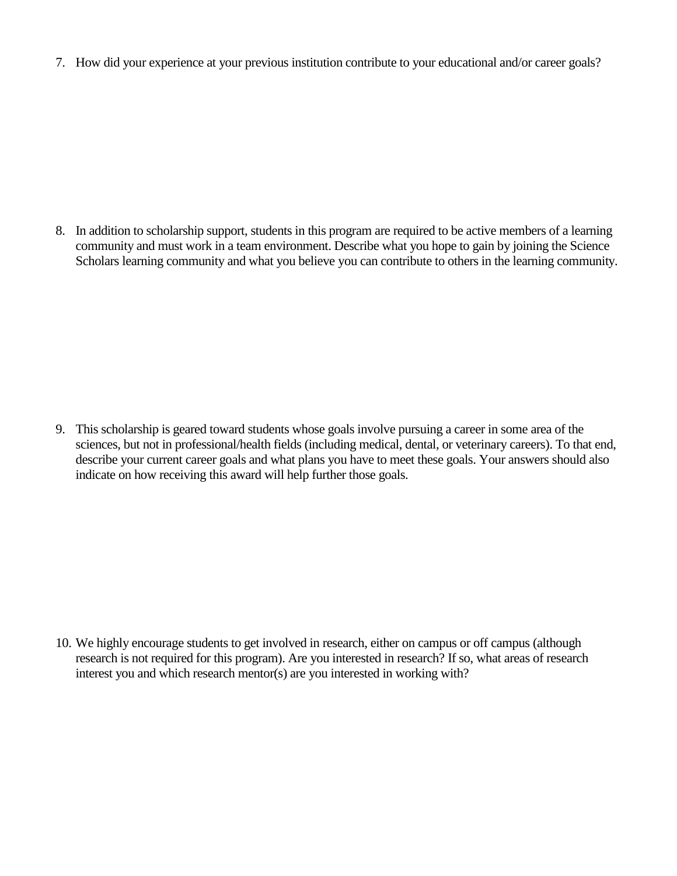7. How did your experience at your previous institution contribute to your educational and/or career goals?

8. In addition to scholarship support, students in this program are required to be active members of a learning community and must work in a team environment. Describe what you hope to gain by joining the Science Scholars learning community and what you believe you can contribute to others in the learning community.

9. This scholarship is geared toward students whose goals involve pursuing a career in some area of the sciences, but not in professional/health fields (including medical, dental, or veterinary careers). To that end, describe your current career goals and what plans you have to meet these goals. Your answers should also indicate on how receiving this award will help further those goals.

10. We highly encourage students to get involved in research, either on campus or off campus (although research is not required for this program). Are you interested in research? If so, what areas of research interest you and which research mentor(s) are you interested in working with?